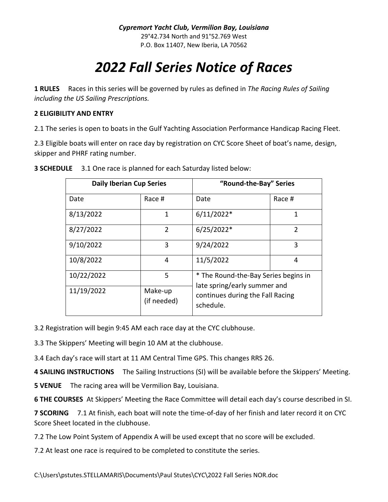## *2022 Fall Series Notice of Races*

**1 RULES** Races in this series will be governed by rules as defined in *The Racing Rules of Sailing including the US Sailing Prescriptions.*

## **2 ELIGIBILITY AND ENTRY**

2.1 The series is open to boats in the Gulf Yachting Association Performance Handicap Racing Fleet.

2.3 Eligible boats will enter on race day by registration on CYC Score Sheet of boat's name, design, skipper and PHRF rating number.

| <b>Daily Iberian Cup Series</b> |                        | "Round-the-Bay" Series                                                                                                |                |
|---------------------------------|------------------------|-----------------------------------------------------------------------------------------------------------------------|----------------|
| Date                            | Race #                 | Date                                                                                                                  | Race #         |
| 8/13/2022                       | 1                      | $6/11/2022*$                                                                                                          | 1              |
| 8/27/2022                       | $\mathfrak{D}$         | $6/25/2022*$                                                                                                          | $\mathfrak{p}$ |
| 9/10/2022                       | 3                      | 9/24/2022                                                                                                             | 3              |
| 10/8/2022                       | 4                      | 11/5/2022                                                                                                             | 4              |
| 10/22/2022                      | 5                      | * The Round-the-Bay Series begins in<br>late spring/early summer and<br>continues during the Fall Racing<br>schedule. |                |
| 11/19/2022                      | Make-up<br>(if needed) |                                                                                                                       |                |

**3 SCHEDULE** 3.1 One race is planned for each Saturday listed below:

3.2 Registration will begin 9:45 AM each race day at the CYC clubhouse.

3.3 The Skippers' Meeting will begin 10 AM at the clubhouse.

3.4 Each day's race will start at 11 AM Central Time GPS. This changes RRS 26.

**4 SAILING INSTRUCTIONS** The Sailing Instructions (SI) will be available before the Skippers' Meeting.

**5 VENUE** The racing area will be Vermilion Bay, Louisiana.

**6 THE COURSES** At Skippers' Meeting the Race Committee will detail each day's course described in SI.

**7 SCORING** 7.1 At finish, each boat will note the time-of-day of her finish and later record it on CYC Score Sheet located in the clubhouse.

7.2 The Low Point System of Appendix A will be used except that no score will be excluded.

7.2 At least one race is required to be completed to constitute the series.